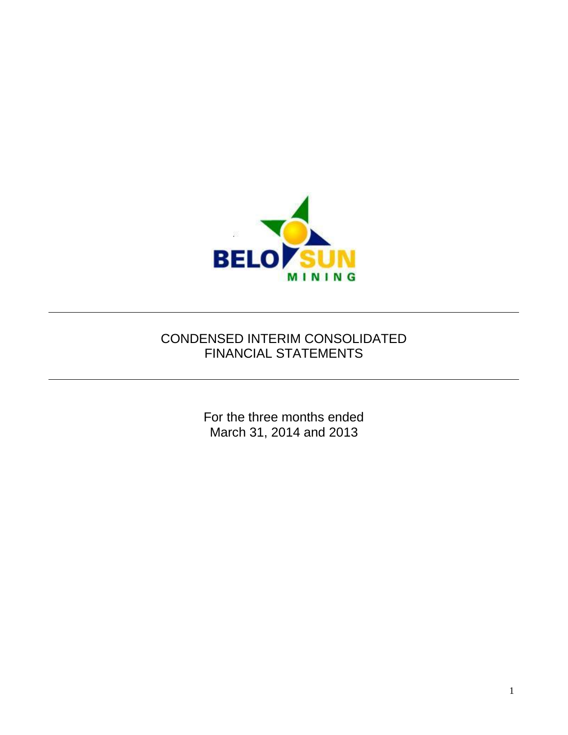

# CONDENSED INTERIM CONSOLIDATED FINANCIAL STATEMENTS

For the three months ended March 31, 2014 and 2013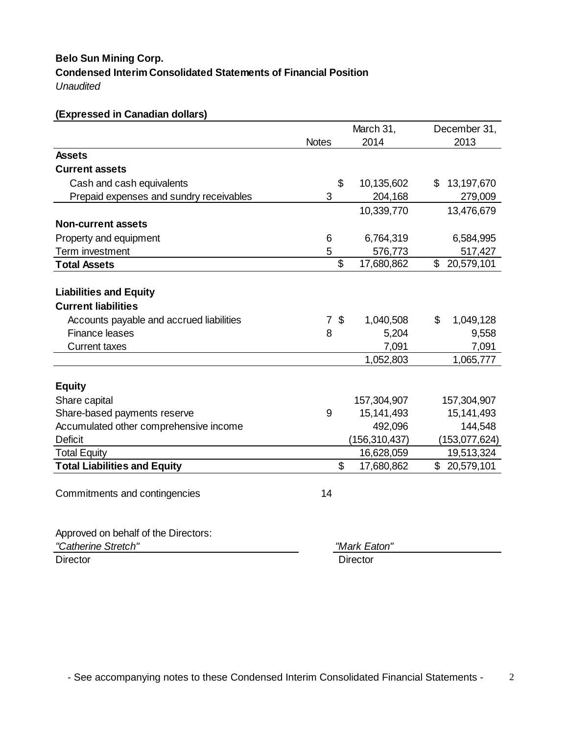# **Condensed Interim Consolidated Statements of Financial Position**  *Unaudited* **Belo Sun Mining Corp.**

| (Expressed in Canadian dollars)          |                |                             |                  |
|------------------------------------------|----------------|-----------------------------|------------------|
|                                          |                | March 31,                   | December 31,     |
|                                          | <b>Notes</b>   | 2014                        | 2013             |
| <b>Assets</b>                            |                |                             |                  |
| <b>Current assets</b>                    |                |                             |                  |
| Cash and cash equivalents                |                | \$<br>10,135,602            | 13,197,670<br>S  |
| Prepaid expenses and sundry receivables  | 3              | 204,168                     | 279,009          |
|                                          |                | 10,339,770                  | 13,476,679       |
| <b>Non-current assets</b>                |                |                             |                  |
| Property and equipment                   | 6              | 6,764,319                   | 6,584,995        |
| Term investment                          | 5              | 576,773                     | 517,427          |
| <b>Total Assets</b>                      |                | \$<br>17,680,862            | \$<br>20,579,101 |
|                                          |                |                             |                  |
| <b>Liabilities and Equity</b>            |                |                             |                  |
| <b>Current liabilities</b>               |                |                             |                  |
| Accounts payable and accrued liabilities | $\overline{7}$ | $\mathfrak{F}$<br>1,040,508 | \$<br>1,049,128  |
| <b>Finance leases</b>                    | 8              | 5,204                       | 9,558            |
| <b>Current taxes</b>                     |                | 7,091                       | 7,091            |
|                                          |                | 1,052,803                   | 1,065,777        |
|                                          |                |                             |                  |
| <b>Equity</b>                            |                |                             |                  |
| Share capital                            |                | 157,304,907                 | 157,304,907      |
| Share-based payments reserve             | 9              | 15,141,493                  | 15, 141, 493     |
| Accumulated other comprehensive income   |                | 492,096                     | 144,548          |
| <b>Deficit</b>                           |                | (156, 310, 437)             | (153, 077, 624)  |
| <b>Total Equity</b>                      |                | 16,628,059                  | 19,513,324       |
| <b>Total Liabilities and Equity</b>      |                | \$<br>17,680,862            | \$20,579,101     |
|                                          |                |                             |                  |
| Commitments and contingencies            | 14             |                             |                  |
|                                          |                |                             |                  |
| Approved on behalf of the Directors:     |                |                             |                  |
| "Catherine Stretch"                      |                | "Mark Eaton"                |                  |

Director **Director** Director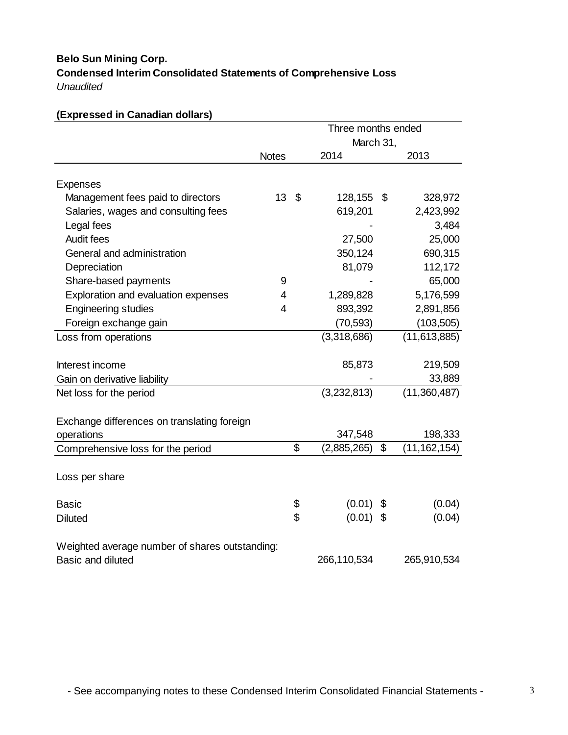# **Condensed Interim Consolidated Statements of Comprehensive Loss** *Unaudited* **Belo Sun Mining Corp.**

# **(Expressed in Canadian dollars)** 2014 2013 Expenses Management fees paid to directors 13 \$ 128,155 \$ 328,972 Salaries, wages and consulting fees 619,201 2,423,992 Legal fees 3,484 Audit fees 27,500 25,000 General and administration 690,315 Depreciation 81,079 112,172 Share-based payments 5 - 65,000 Exploration and evaluation expenses  $\frac{4}{1,289,828}$  5,176,599 Engineering studies 1 1 2,891,856 Foreign exchange gain (70,593) (103,505) Loss from operations (3,318,686) (11,613,885) Interest income 85,873 219,509 Gain on derivative liability and the state of the state of the state of the state of the state of the state of the state of the state of the state of the state of the state of the state of the state of the state of the sta Net loss for the period (3,232,813) (11,360,487) 347,548 198,333 Comprehensive loss for the period \$ (2,885,265) \$ (11,162,154) Loss per share Basic 6 (0.01) \$ (0.04) Diluted \$ (0.01) \$ (0.04) Exchange differences on translating foreign operations **Notes** Three months ended March 31,

Weighted average number of shares outstanding: Basic and diluted 266,110,534 265,910,534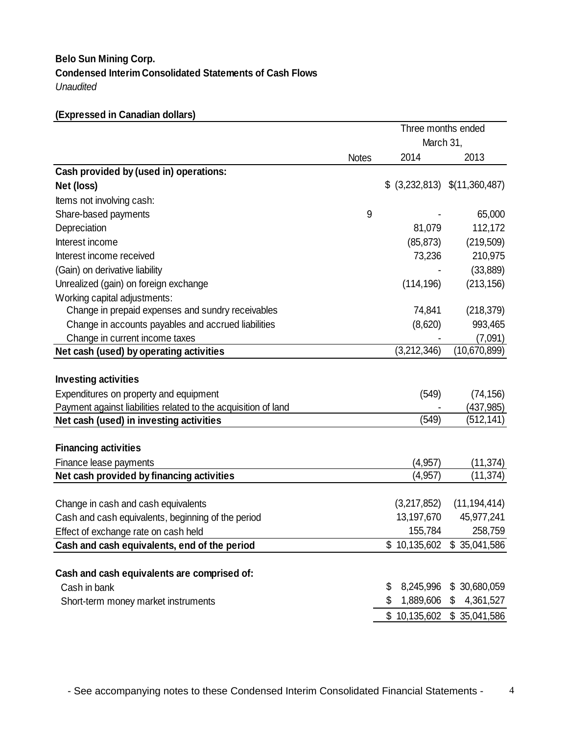# **Condensed Interim Consolidated Statements of Cash Flows**  *Unaudited* **Belo Sun Mining Corp.**

# **(Expressed in Canadian dollars)**

|                                                                                      |              | Three months ended<br>March 31, |                                  |  |
|--------------------------------------------------------------------------------------|--------------|---------------------------------|----------------------------------|--|
|                                                                                      | <b>Notes</b> | 2014                            | 2013                             |  |
| Cash provided by (used in) operations:                                               |              |                                 |                                  |  |
| Net (loss)                                                                           |              |                                 | $$$ (3,232,813) $$$ (11,360,487) |  |
| Items not involving cash:                                                            |              |                                 |                                  |  |
| Share-based payments                                                                 | 9            |                                 | 65,000                           |  |
| Depreciation                                                                         |              | 81,079                          | 112,172                          |  |
| Interest income                                                                      |              | (85, 873)                       | (219,509)                        |  |
| Interest income received                                                             |              | 73,236                          | 210,975                          |  |
| (Gain) on derivative liability                                                       |              |                                 | (33, 889)                        |  |
| Unrealized (gain) on foreign exchange                                                |              | (114, 196)                      | (213, 156)                       |  |
| Working capital adjustments:                                                         |              |                                 |                                  |  |
| Change in prepaid expenses and sundry receivables                                    |              | 74,841                          | (218, 379)                       |  |
| Change in accounts payables and accrued liabilities                                  |              | (8,620)                         | 993,465                          |  |
| Change in current income taxes                                                       |              |                                 | (7,091)                          |  |
| Net cash (used) by operating activities                                              |              | (3,212,346)                     | (10,670,899)                     |  |
|                                                                                      |              |                                 |                                  |  |
| <b>Investing activities</b>                                                          |              |                                 |                                  |  |
| Expenditures on property and equipment                                               |              | (549)                           | (74, 156)                        |  |
| Payment against liabilities related to the acquisition of land                       |              |                                 | (437, 985)                       |  |
| Net cash (used) in investing activities                                              |              | (549)                           | (512,141)                        |  |
|                                                                                      |              |                                 |                                  |  |
| <b>Financing activities</b>                                                          |              |                                 |                                  |  |
| Finance lease payments                                                               |              | (4, 957)                        | (11, 374)                        |  |
| Net cash provided by financing activities                                            |              | (4, 957)                        | (11, 374)                        |  |
| Change in cash and cash equivalents                                                  |              | (3,217,852)                     | (11, 194, 414)                   |  |
|                                                                                      |              | 13,197,670                      | 45,977,241                       |  |
| Cash and cash equivalents, beginning of the period                                   |              | 155,784                         | 258,759                          |  |
| Effect of exchange rate on cash held<br>Cash and cash equivalents, end of the period |              |                                 | \$10,135,602 \$35,041,586        |  |
|                                                                                      |              |                                 |                                  |  |
| Cash and cash equivalents are comprised of:                                          |              |                                 |                                  |  |
| Cash in bank                                                                         |              | 8,245,996<br>\$                 | \$30,680,059                     |  |
| Short-term money market instruments                                                  |              | \$<br>1,889,606                 | 4,361,527<br>\$                  |  |
|                                                                                      |              |                                 | \$10,135,602 \$35,041,586        |  |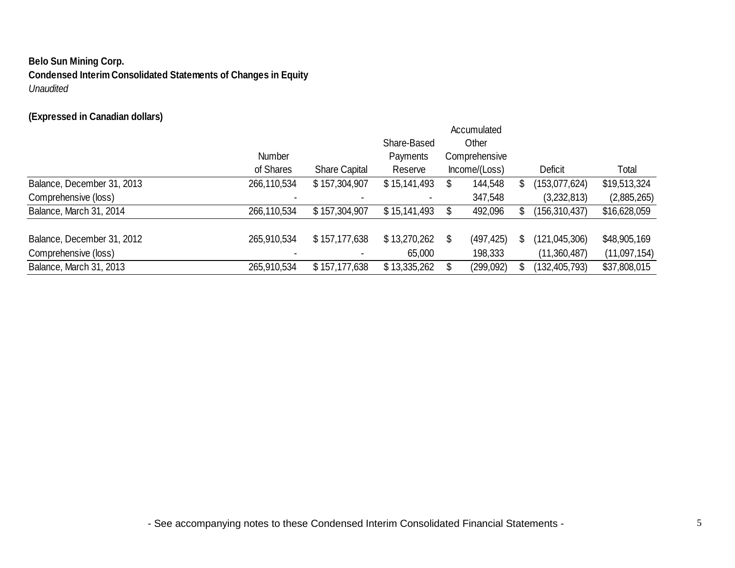# **Belo Sun Mining Corp. Condensed Interim Consolidated Statements of Changes in Equity**

*Unaudited*

# **(Expressed in Canadian dollars)**

|                            |               |                      |              | Accumulated      |                 |              |
|----------------------------|---------------|----------------------|--------------|------------------|-----------------|--------------|
|                            |               |                      | Share-Based  | Other            |                 |              |
|                            | <b>Number</b> |                      | Payments     | Comprehensive    |                 |              |
|                            | of Shares     | <b>Share Capital</b> | Reserve      | Income/(Loss)    | Deficit         | Total        |
| Balance, December 31, 2013 | 266,110,534   | \$157,304,907        | \$15,141,493 | \$<br>144,548    | (153,077,624)   | \$19,513,324 |
| Comprehensive (loss)       |               |                      |              | 347,548          | (3,232,813)     | (2,885,265)  |
| Balance, March 31, 2014    | 266,110,534   | \$157,304,907        | \$15,141,493 | 492,096          | (156, 310, 437) | \$16,628,059 |
| Balance, December 31, 2012 | 265,910,534   | \$157,177,638        | \$13,270,262 | \$<br>(497, 425) | (121,045,306)   | \$48,905,169 |
| Comprehensive (loss)       |               |                      | 65,000       | 198,333          | (11,360,487)    | (11,097,154) |
| Balance, March 31, 2013    | 265,910,534   | \$157,177,638        | \$13,335,262 | \$<br>(299,092)  | (132,405,793)   | \$37,808,015 |

- See accompanying notes to these Condensed Interim Consolidated Financial Statements -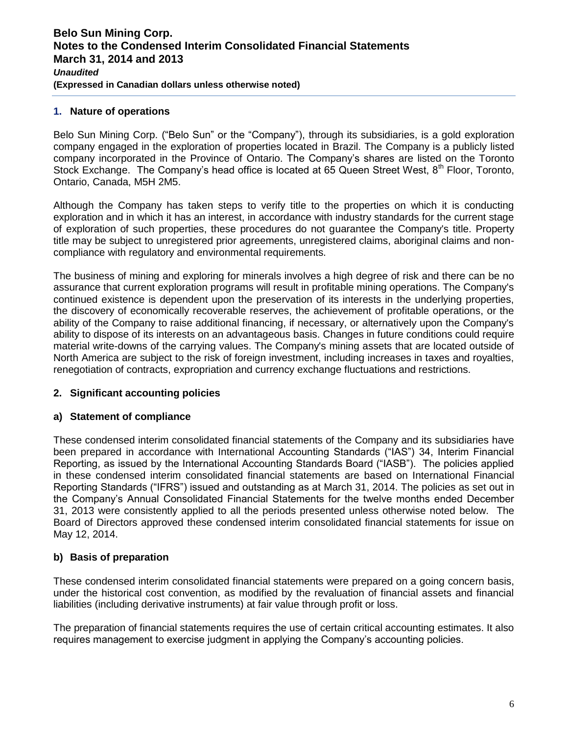## **1. Nature of operations**

Belo Sun Mining Corp. ("Belo Sun" or the "Company"), through its subsidiaries, is a gold exploration company engaged in the exploration of properties located in Brazil. The Company is a publicly listed company incorporated in the Province of Ontario. The Company's shares are listed on the Toronto Stock Exchange. The Company's head office is located at 65 Queen Street West,  $8<sup>th</sup>$  Floor, Toronto, Ontario, Canada, M5H 2M5.

Although the Company has taken steps to verify title to the properties on which it is conducting exploration and in which it has an interest, in accordance with industry standards for the current stage of exploration of such properties, these procedures do not guarantee the Company's title. Property title may be subject to unregistered prior agreements, unregistered claims, aboriginal claims and noncompliance with regulatory and environmental requirements.

The business of mining and exploring for minerals involves a high degree of risk and there can be no assurance that current exploration programs will result in profitable mining operations. The Company's continued existence is dependent upon the preservation of its interests in the underlying properties, the discovery of economically recoverable reserves, the achievement of profitable operations, or the ability of the Company to raise additional financing, if necessary, or alternatively upon the Company's ability to dispose of its interests on an advantageous basis. Changes in future conditions could require material write-downs of the carrying values. The Company's mining assets that are located outside of North America are subject to the risk of foreign investment, including increases in taxes and royalties, renegotiation of contracts, expropriation and currency exchange fluctuations and restrictions.

## **2. Significant accounting policies**

## **a) Statement of compliance**

These condensed interim consolidated financial statements of the Company and its subsidiaries have been prepared in accordance with International Accounting Standards ("IAS") 34, Interim Financial Reporting, as issued by the International Accounting Standards Board ("IASB"). The policies applied in these condensed interim consolidated financial statements are based on International Financial Reporting Standards ("IFRS") issued and outstanding as at March 31, 2014. The policies as set out in the Company's Annual Consolidated Financial Statements for the twelve months ended December 31, 2013 were consistently applied to all the periods presented unless otherwise noted below. The Board of Directors approved these condensed interim consolidated financial statements for issue on May 12, 2014.

## **b) Basis of preparation**

These condensed interim consolidated financial statements were prepared on a going concern basis, under the historical cost convention, as modified by the revaluation of financial assets and financial liabilities (including derivative instruments) at fair value through profit or loss.

The preparation of financial statements requires the use of certain critical accounting estimates. It also requires management to exercise judgment in applying the Company's accounting policies.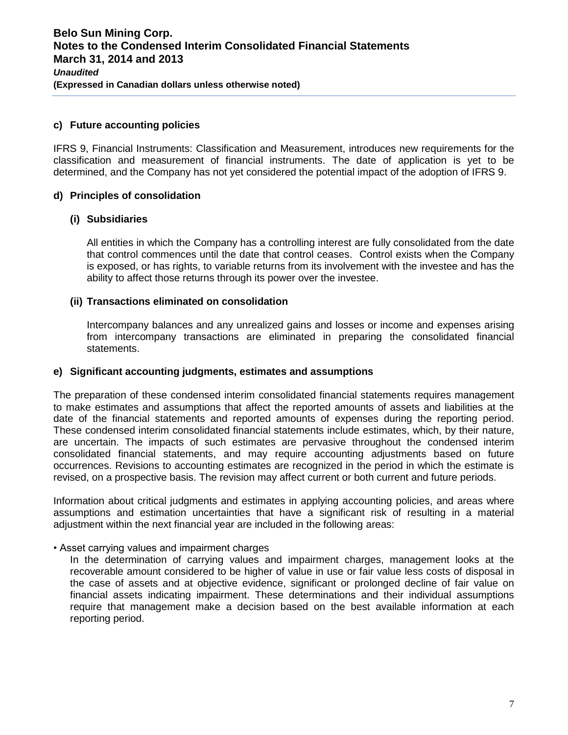## **c) Future accounting policies**

IFRS 9, Financial Instruments: Classification and Measurement, introduces new requirements for the classification and measurement of financial instruments. The date of application is yet to be determined, and the Company has not yet considered the potential impact of the adoption of IFRS 9.

#### **d) Principles of consolidation**

#### **(i) Subsidiaries**

All entities in which the Company has a controlling interest are fully consolidated from the date that control commences until the date that control ceases. Control exists when the Company is exposed, or has rights, to variable returns from its involvement with the investee and has the ability to affect those returns through its power over the investee.

#### **(ii) Transactions eliminated on consolidation**

Intercompany balances and any unrealized gains and losses or income and expenses arising from intercompany transactions are eliminated in preparing the consolidated financial statements.

#### **e) Significant accounting judgments, estimates and assumptions**

The preparation of these condensed interim consolidated financial statements requires management to make estimates and assumptions that affect the reported amounts of assets and liabilities at the date of the financial statements and reported amounts of expenses during the reporting period. These condensed interim consolidated financial statements include estimates, which, by their nature, are uncertain. The impacts of such estimates are pervasive throughout the condensed interim consolidated financial statements, and may require accounting adjustments based on future occurrences. Revisions to accounting estimates are recognized in the period in which the estimate is revised, on a prospective basis. The revision may affect current or both current and future periods.

Information about critical judgments and estimates in applying accounting policies, and areas where assumptions and estimation uncertainties that have a significant risk of resulting in a material adjustment within the next financial year are included in the following areas:

#### • Asset carrying values and impairment charges

In the determination of carrying values and impairment charges, management looks at the recoverable amount considered to be higher of value in use or fair value less costs of disposal in the case of assets and at objective evidence, significant or prolonged decline of fair value on financial assets indicating impairment. These determinations and their individual assumptions require that management make a decision based on the best available information at each reporting period.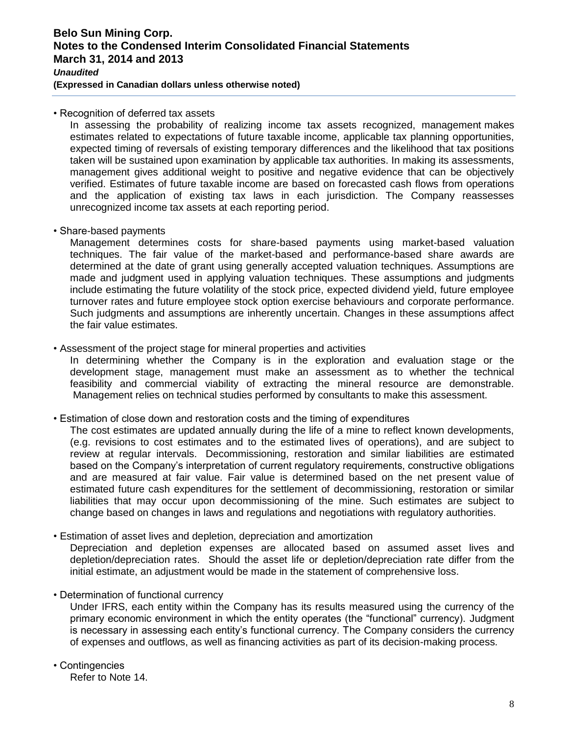## **Belo Sun Mining Corp. Notes to the Condensed Interim Consolidated Financial Statements March 31, 2014 and 2013**  *Unaudited*

**(Expressed in Canadian dollars unless otherwise noted)** 

• Recognition of deferred tax assets

In assessing the probability of realizing income tax assets recognized, management makes estimates related to expectations of future taxable income, applicable tax planning opportunities, expected timing of reversals of existing temporary differences and the likelihood that tax positions taken will be sustained upon examination by applicable tax authorities. In making its assessments, management gives additional weight to positive and negative evidence that can be objectively verified. Estimates of future taxable income are based on forecasted cash flows from operations and the application of existing tax laws in each jurisdiction. The Company reassesses unrecognized income tax assets at each reporting period.

• Share-based payments

Management determines costs for share-based payments using market-based valuation techniques. The fair value of the market-based and performance-based share awards are determined at the date of grant using generally accepted valuation techniques. Assumptions are made and judgment used in applying valuation techniques. These assumptions and judgments include estimating the future volatility of the stock price, expected dividend yield, future employee turnover rates and future employee stock option exercise behaviours and corporate performance. Such judgments and assumptions are inherently uncertain. Changes in these assumptions affect the fair value estimates.

• Assessment of the project stage for mineral properties and activities

In determining whether the Company is in the exploration and evaluation stage or the development stage, management must make an assessment as to whether the technical feasibility and commercial viability of extracting the mineral resource are demonstrable. Management relies on technical studies performed by consultants to make this assessment.

• Estimation of close down and restoration costs and the timing of expenditures

The cost estimates are updated annually during the life of a mine to reflect known developments, (e.g. revisions to cost estimates and to the estimated lives of operations), and are subject to review at regular intervals. Decommissioning, restoration and similar liabilities are estimated based on the Company's interpretation of current regulatory requirements, constructive obligations and are measured at fair value. Fair value is determined based on the net present value of estimated future cash expenditures for the settlement of decommissioning, restoration or similar liabilities that may occur upon decommissioning of the mine. Such estimates are subject to change based on changes in laws and regulations and negotiations with regulatory authorities.

• Estimation of asset lives and depletion, depreciation and amortization

Depreciation and depletion expenses are allocated based on assumed asset lives and depletion/depreciation rates. Should the asset life or depletion/depreciation rate differ from the initial estimate, an adjustment would be made in the statement of comprehensive loss.

• Determination of functional currency

Under IFRS, each entity within the Company has its results measured using the currency of the primary economic environment in which the entity operates (the "functional" currency). Judgment is necessary in assessing each entity's functional currency. The Company considers the currency of expenses and outflows, as well as financing activities as part of its decision-making process.

• Contingencies Refer to Note 14.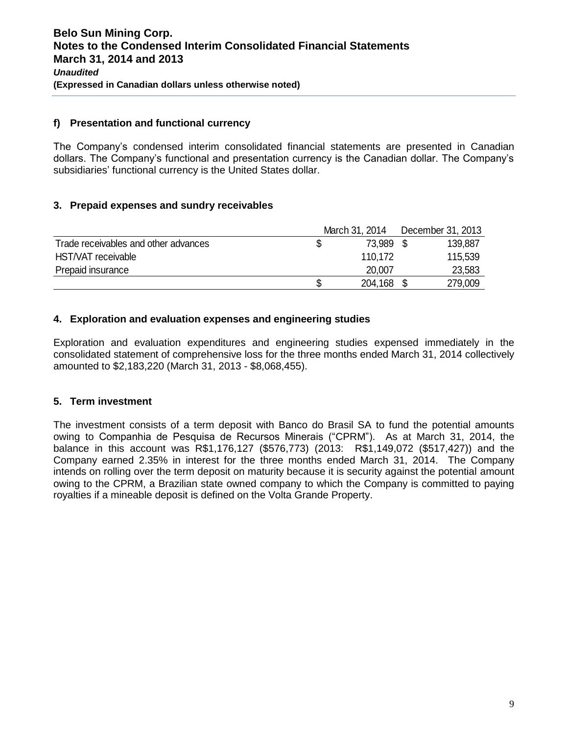#### **f) Presentation and functional currency**

The Company's condensed interim consolidated financial statements are presented in Canadian dollars. The Company's functional and presentation currency is the Canadian dollar. The Company's subsidiaries' functional currency is the United States dollar.

## **3. Prepaid expenses and sundry receivables**

|                                      |    | March 31, 2014 | December 31, 2013 |
|--------------------------------------|----|----------------|-------------------|
| Trade receivables and other advances | S  | 73.989 \$      | 139,887           |
| HST/VAT receivable                   |    | 110.172        | 115,539           |
| Prepaid insurance                    |    | 20,007         | 23,583            |
|                                      | \$ | 204,168        | 279,009           |

## **4. Exploration and evaluation expenses and engineering studies**

Exploration and evaluation expenditures and engineering studies expensed immediately in the consolidated statement of comprehensive loss for the three months ended March 31, 2014 collectively amounted to \$2,183,220 (March 31, 2013 - \$8,068,455).

## **5. Term investment**

The investment consists of a term deposit with Banco do Brasil SA to fund the potential amounts owing to Companhia de Pesquisa de Recursos Minerais ("CPRM"). As at March 31, 2014, the balance in this account was R\$1,176,127 (\$576,773) (2013: R\$1,149,072 (\$517,427)) and the Company earned 2.35% in interest for the three months ended March 31, 2014. The Company intends on rolling over the term deposit on maturity because it is security against the potential amount owing to the CPRM, a Brazilian state owned company to which the Company is committed to paying royalties if a mineable deposit is defined on the Volta Grande Property.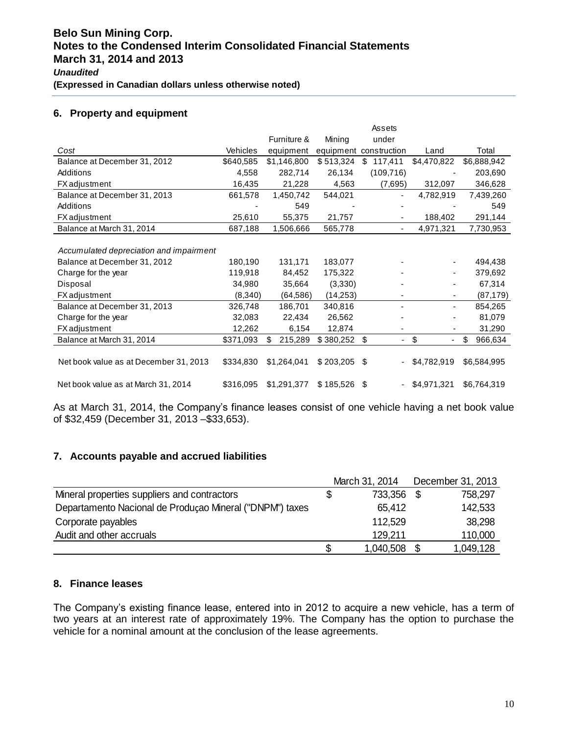## **6. Property and equipment**

|                                         |                 |               |               | Assets                   |                      |               |
|-----------------------------------------|-----------------|---------------|---------------|--------------------------|----------------------|---------------|
|                                         |                 | Furniture &   | Mining        | under                    |                      |               |
| Cost                                    | <b>Vehicles</b> | equipment     |               | equipment construction   | Land                 | Total         |
| Balance at December 31, 2012            | \$640,585       | \$1,146,800   | \$513,324     | \$<br>117,411            | \$4,470,822          | \$6,888,942   |
| Additions                               | 4,558           | 282,714       | 26,134        | (109, 716)               |                      | 203,690       |
| <b>FX</b> adjustment                    | 16,435          | 21,228        | 4,563         | (7,695)                  | 312,097              | 346,628       |
| Balance at December 31, 2013            | 661,578         | 1,450,742     | 544,021       |                          | 4,782,919            | 7,439,260     |
| Additions                               |                 | 549           |               |                          |                      | 549           |
| <b>FX</b> adjustment                    | 25,610          | 55,375        | 21,757        |                          | 188,402              | 291,144       |
| Balance at March 31, 2014               | 687,188         | 1,506,666     | 565,778       |                          | 4,971,321            | 7,730,953     |
|                                         |                 |               |               |                          |                      |               |
| Accumulated depreciation and impairment |                 |               |               |                          |                      |               |
| Balance at December 31, 2012            | 180,190         | 131,171       | 183,077       |                          | ٠                    | 494,438       |
| Charge for the year                     | 119,918         | 84,452        | 175,322       |                          | ٠                    | 379,692       |
| Disposal                                | 34,980          | 35,664        | (3,330)       |                          |                      | 67,314        |
| <b>FX</b> adjustment                    | (8,340)         | (64, 586)     | (14,253)      |                          |                      | (87, 179)     |
| Balance at December 31, 2013            | 326,748         | 186,701       | 340,816       |                          |                      | 854,265       |
| Charge for the year                     | 32,083          | 22,434        | 26,562        |                          |                      | 81,079        |
| <b>FX</b> adjustment                    | 12,262          | 6,154         | 12,874        |                          |                      | 31,290        |
| Balance at March 31, 2014               | \$371,093       | 215,289<br>\$ | $$380,252$ \$ | $\overline{\phantom{0}}$ | \$<br>$\blacksquare$ | \$<br>966,634 |
|                                         |                 |               |               |                          |                      |               |
| Net book value as at December 31, 2013  | \$334,830       | \$1,264,041   | \$203,205     | -\$                      | \$4,782,919          | \$6,584,995   |
|                                         |                 |               |               |                          |                      |               |
| Net book value as at March 31, 2014     | \$316,095       | \$1,291,377   | \$185,526     | - \$                     | \$4,971,321          | \$6,764,319   |

As at March 31, 2014, the Company's finance leases consist of one vehicle having a net book value of \$32,459 (December 31, 2013 –\$33,653).

# **7. Accounts payable and accrued liabilities**

|                                                          |   | March 31, 2014 | December 31, 2013 |
|----------------------------------------------------------|---|----------------|-------------------|
| Mineral properties suppliers and contractors             | S | 733,356 \$     | 758,297           |
| Departamento Nacional de Produçao Mineral ("DNPM") taxes |   | 65,412         | 142,533           |
| Corporate payables                                       |   | 112,529        | 38,298            |
| Audit and other accruals                                 |   | 129.211        | 110,000           |
|                                                          |   | 1,040,508      | 1,049,128         |

## **8. Finance leases**

The Company's existing finance lease, entered into in 2012 to acquire a new vehicle, has a term of two years at an interest rate of approximately 19%. The Company has the option to purchase the vehicle for a nominal amount at the conclusion of the lease agreements.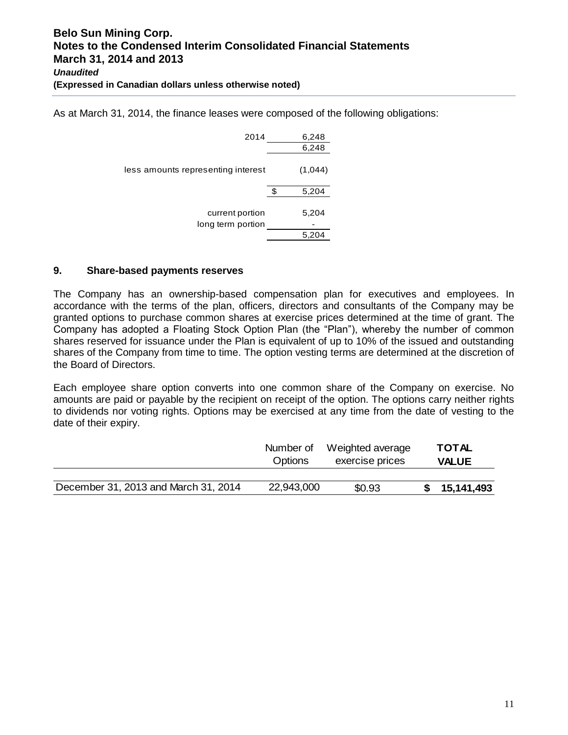As at March 31, 2014, the finance leases were composed of the following obligations:

| 2014                                 | 6,248          |
|--------------------------------------|----------------|
|                                      | 6,248          |
| less amounts representing interest   | (1,044)        |
|                                      | 5,204          |
| current portion<br>long term portion | 5,204<br>5.204 |

## **9. Share-based payments reserves**

The Company has an ownership-based compensation plan for executives and employees. In accordance with the terms of the plan, officers, directors and consultants of the Company may be granted options to purchase common shares at exercise prices determined at the time of grant. The Company has adopted a Floating Stock Option Plan (the "Plan"), whereby the number of common shares reserved for issuance under the Plan is equivalent of up to 10% of the issued and outstanding shares of the Company from time to time. The option vesting terms are determined at the discretion of the Board of Directors.

Each employee share option converts into one common share of the Company on exercise. No amounts are paid or payable by the recipient on receipt of the option. The options carry neither rights to dividends nor voting rights. Options may be exercised at any time from the date of vesting to the date of their expiry.

|                                      | Number of      | Weighted average | <b>TOTAL</b> |
|--------------------------------------|----------------|------------------|--------------|
|                                      | <b>Options</b> | exercise prices  | <b>VALUE</b> |
|                                      |                |                  |              |
| December 31, 2013 and March 31, 2014 | 22,943,000     | \$0.93           | 15,141,493   |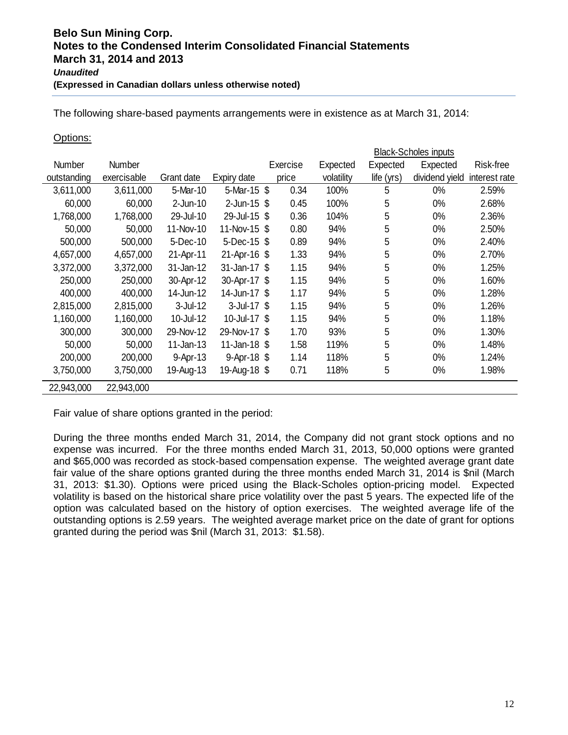The following share-based payments arrangements were in existence as at March 31, 2014:

#### Options:

|               |             |              |                 | <b>Black-Scholes inputs</b> |            |            |                |               |  |  |
|---------------|-------------|--------------|-----------------|-----------------------------|------------|------------|----------------|---------------|--|--|
| <b>Number</b> | Number      |              |                 | Exercise                    | Expected   | Expected   | Expected       | Risk-free     |  |  |
| outstanding   | exercisable | Grant date   | Expiry date     | price                       | volatility | life (yrs) | dividend yield | interest rate |  |  |
| 3,611,000     | 3,611,000   | 5-Mar-10     | 5-Mar-15 \$     | 0.34                        | 100%       | 5          | 0%             | 2.59%         |  |  |
| 60,000        | 60,000      | $2$ -Jun-10  | $2$ -Jun-15 $$$ | 0.45                        | 100%       | 5          | 0%             | 2.68%         |  |  |
| 1,768,000     | 1,768,000   | 29-Jul-10    | 29-Jul-15       | 0.36<br>-\$                 | 104%       | 5          | 0%             | 2.36%         |  |  |
| 50,000        | 50,000      | 11-Nov-10    | 11-Nov-15       | 0.80<br>\$                  | 94%        | 5          | 0%             | 2.50%         |  |  |
| 500,000       | 500,000     | 5-Dec-10     | 5-Dec-15        | 0.89<br>-S                  | 94%        | 5          | $0\%$          | 2.40%         |  |  |
| 4,657,000     | 4,657,000   | 21-Apr-11    | 21-Apr-16 \$    | 1.33                        | 94%        | 5          | 0%             | 2.70%         |  |  |
| 3,372,000     | 3,372,000   | 31-Jan-12    | 31-Jan-17 \$    | 1.15                        | 94%        | 5          | 0%             | 1.25%         |  |  |
| 250,000       | 250,000     | 30-Apr-12    | 30-Apr-17       | 1.15<br>- \$                | 94%        | 5          | 0%             | 1.60%         |  |  |
| 400,000       | 400,000     | 14-Jun-12    | 14-Jun-17 \$    | 1.17                        | 94%        | 5          | 0%             | 1.28%         |  |  |
| 2,815,000     | 2,815,000   | $3$ -Jul-12  | $3$ -Jul-17 $$$ | 1.15                        | 94%        | 5          | 0%             | 1.26%         |  |  |
| 1,160,000     | 1,160,000   | 10-Jul-12    | 10-Jul-17 \$    | 1.15                        | 94%        | 5          | 0%             | 1.18%         |  |  |
| 300,000       | 300,000     | 29-Nov-12    | 29-Nov-17 \$    | 1.70                        | 93%        | 5          | 0%             | 1.30%         |  |  |
| 50,000        | 50,000      | $11$ -Jan-13 | 11-Jan-18       | 1.58<br>-S                  | 119%       | 5          | 0%             | 1.48%         |  |  |
| 200,000       | 200,000     | 9-Apr-13     | 9-Apr-18 \$     | 1.14                        | 118%       | 5          | $0\%$          | 1.24%         |  |  |
| 3,750,000     | 3,750,000   | 19-Aug-13    | 19-Aug-18 \$    | 0.71                        | 118%       | 5          | 0%             | 1.98%         |  |  |
| 22,943,000    | 22,943,000  |              |                 |                             |            |            |                |               |  |  |

Fair value of share options granted in the period:

During the three months ended March 31, 2014, the Company did not grant stock options and no expense was incurred. For the three months ended March 31, 2013, 50,000 options were granted and \$65,000 was recorded as stock-based compensation expense. The weighted average grant date fair value of the share options granted during the three months ended March 31, 2014 is \$nil (March 31, 2013: \$1.30). Options were priced using the Black-Scholes option-pricing model. Expected volatility is based on the historical share price volatility over the past 5 years. The expected life of the option was calculated based on the history of option exercises. The weighted average life of the outstanding options is 2.59 years. The weighted average market price on the date of grant for options granted during the period was \$nil (March 31, 2013: \$1.58).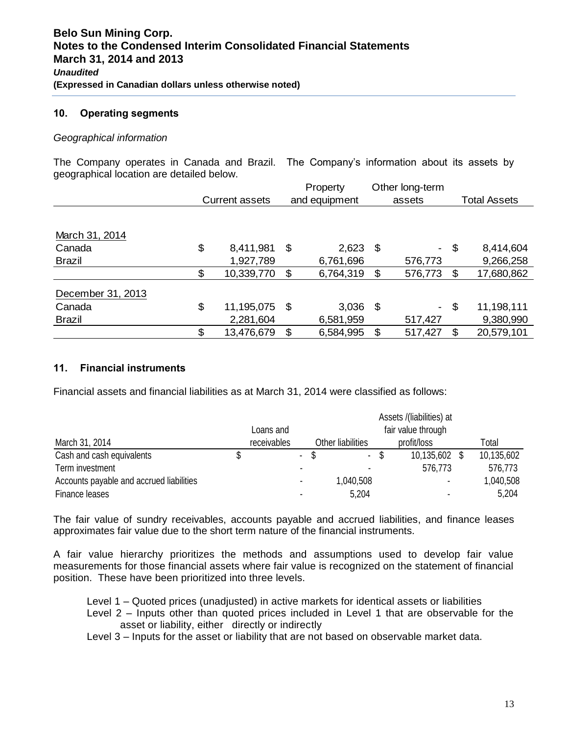#### **10. Operating segments**

#### *Geographical information*

The Company operates in Canada and Brazil. The Company's information about its assets by geographical location are detailed below.

|                   |                       |    | Property      |    | Other long-term |        |                     |  |
|-------------------|-----------------------|----|---------------|----|-----------------|--------|---------------------|--|
|                   | <b>Current assets</b> |    | and equipment |    | assets          |        | <b>Total Assets</b> |  |
|                   |                       |    |               |    |                 |        |                     |  |
| March 31, 2014    |                       |    |               |    |                 |        |                     |  |
| Canada            | \$<br>8,411,981       | \$ | 2,623         | \$ |                 | $-$ \$ | 8,414,604           |  |
| <b>Brazil</b>     | 1,927,789             |    | 6,761,696     |    | 576,773         |        | 9,266,258           |  |
|                   | \$<br>10,339,770      | \$ | 6,764,319     | \$ | 576,773         | \$     | 17,680,862          |  |
| December 31, 2013 |                       |    |               |    |                 |        |                     |  |
| Canada            | \$<br>11,195,075      | \$ | 3,036         | \$ | $\sim 100$      | \$     | 11,198,111          |  |
| <b>Brazil</b>     | 2,281,604             |    | 6,581,959     |    | 517,427         |        | 9,380,990           |  |
|                   | \$<br>13,476,679      | S  | 6,584,995     | \$ | 517,427         | \$     | 20,579,101          |  |

#### **11. Financial instruments**

Financial assets and financial liabilities as at March 31, 2014 were classified as follows:

|                                          |                                 |             | Assets /(liabilities) at |                   |      |               |  |            |
|------------------------------------------|---------------------------------|-------------|--------------------------|-------------------|------|---------------|--|------------|
|                                          | fair value through<br>Loans and |             |                          |                   |      |               |  |            |
| March 31, 2014                           |                                 | receivables |                          | Other liabilities |      | profit/loss   |  | Total      |
| Cash and cash equivalents                |                                 |             | $\blacksquare$           | $\sim$            | - \$ | 10,135,602 \$ |  | 10,135,602 |
| Term investment                          |                                 |             |                          |                   |      | 576,773       |  | 576,773    |
| Accounts payable and accrued liabilities |                                 |             |                          | 1,040,508         |      |               |  | 1,040,508  |
| Finance leases                           |                                 |             |                          | 5,204             |      |               |  | 5,204      |

The fair value of sundry receivables, accounts payable and accrued liabilities, and finance leases approximates fair value due to the short term nature of the financial instruments.

A fair value hierarchy prioritizes the methods and assumptions used to develop fair value measurements for those financial assets where fair value is recognized on the statement of financial position. These have been prioritized into three levels.

- Level 1 Quoted prices (unadjusted) in active markets for identical assets or liabilities
- Level 2 Inputs other than quoted prices included in Level 1 that are observable for the asset or liability, either directly or indirectly
- Level 3 Inputs for the asset or liability that are not based on observable market data.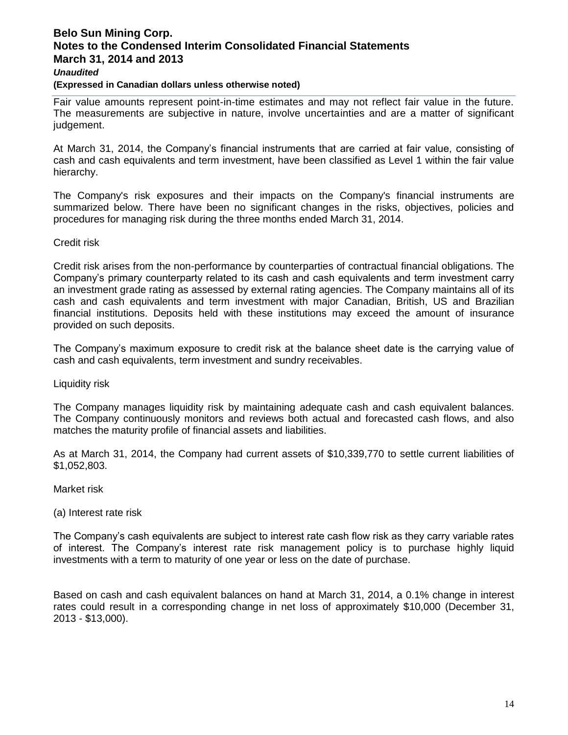## **Belo Sun Mining Corp. Notes to the Condensed Interim Consolidated Financial Statements March 31, 2014 and 2013**  *Unaudited*

#### **(Expressed in Canadian dollars unless otherwise noted)**

Fair value amounts represent point-in-time estimates and may not reflect fair value in the future. The measurements are subjective in nature, involve uncertainties and are a matter of significant judgement.

At March 31, 2014, the Company's financial instruments that are carried at fair value, consisting of cash and cash equivalents and term investment, have been classified as Level 1 within the fair value hierarchy.

The Company's risk exposures and their impacts on the Company's financial instruments are summarized below. There have been no significant changes in the risks, objectives, policies and procedures for managing risk during the three months ended March 31, 2014.

#### Credit risk

Credit risk arises from the non-performance by counterparties of contractual financial obligations. The Company's primary counterparty related to its cash and cash equivalents and term investment carry an investment grade rating as assessed by external rating agencies. The Company maintains all of its cash and cash equivalents and term investment with major Canadian, British, US and Brazilian financial institutions. Deposits held with these institutions may exceed the amount of insurance provided on such deposits.

The Company's maximum exposure to credit risk at the balance sheet date is the carrying value of cash and cash equivalents, term investment and sundry receivables.

#### Liquidity risk

The Company manages liquidity risk by maintaining adequate cash and cash equivalent balances. The Company continuously monitors and reviews both actual and forecasted cash flows, and also matches the maturity profile of financial assets and liabilities.

As at March 31, 2014, the Company had current assets of \$10,339,770 to settle current liabilities of \$1,052,803.

#### Market risk

(a) Interest rate risk

The Company's cash equivalents are subject to interest rate cash flow risk as they carry variable rates of interest. The Company's interest rate risk management policy is to purchase highly liquid investments with a term to maturity of one year or less on the date of purchase.

Based on cash and cash equivalent balances on hand at March 31, 2014, a 0.1% change in interest rates could result in a corresponding change in net loss of approximately \$10,000 (December 31, 2013 - \$13,000).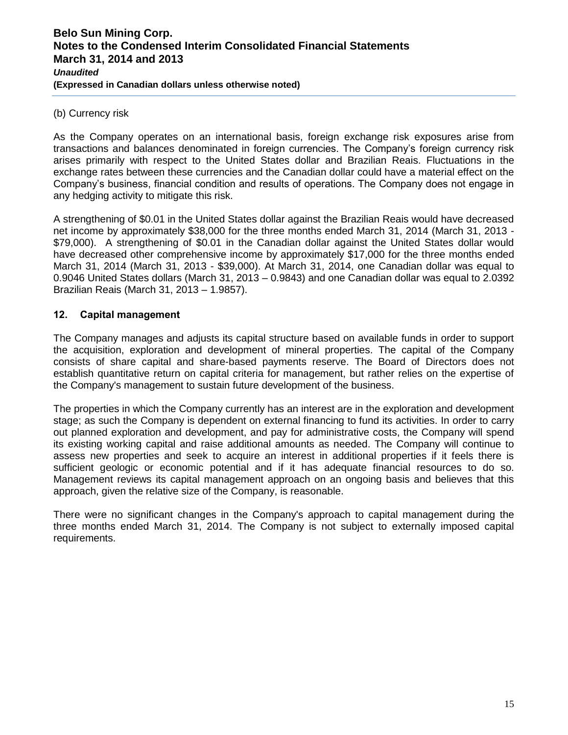#### (b) Currency risk

As the Company operates on an international basis, foreign exchange risk exposures arise from transactions and balances denominated in foreign currencies. The Company's foreign currency risk arises primarily with respect to the United States dollar and Brazilian Reais. Fluctuations in the exchange rates between these currencies and the Canadian dollar could have a material effect on the Company's business, financial condition and results of operations. The Company does not engage in any hedging activity to mitigate this risk.

A strengthening of \$0.01 in the United States dollar against the Brazilian Reais would have decreased net income by approximately \$38,000 for the three months ended March 31, 2014 (March 31, 2013 - \$79,000). A strengthening of \$0.01 in the Canadian dollar against the United States dollar would have decreased other comprehensive income by approximately \$17,000 for the three months ended March 31, 2014 (March 31, 2013 - \$39,000). At March 31, 2014, one Canadian dollar was equal to 0.9046 United States dollars (March 31, 2013 – 0.9843) and one Canadian dollar was equal to 2.0392 Brazilian Reais (March 31, 2013 – 1.9857).

## **12. Capital management**

The Company manages and adjusts its capital structure based on available funds in order to support the acquisition, exploration and development of mineral properties. The capital of the Company consists of share capital and share-based payments reserve. The Board of Directors does not establish quantitative return on capital criteria for management, but rather relies on the expertise of the Company's management to sustain future development of the business.

The properties in which the Company currently has an interest are in the exploration and development stage; as such the Company is dependent on external financing to fund its activities. In order to carry out planned exploration and development, and pay for administrative costs, the Company will spend its existing working capital and raise additional amounts as needed. The Company will continue to assess new properties and seek to acquire an interest in additional properties if it feels there is sufficient geologic or economic potential and if it has adequate financial resources to do so. Management reviews its capital management approach on an ongoing basis and believes that this approach, given the relative size of the Company, is reasonable.

There were no significant changes in the Company's approach to capital management during the three months ended March 31, 2014. The Company is not subject to externally imposed capital requirements.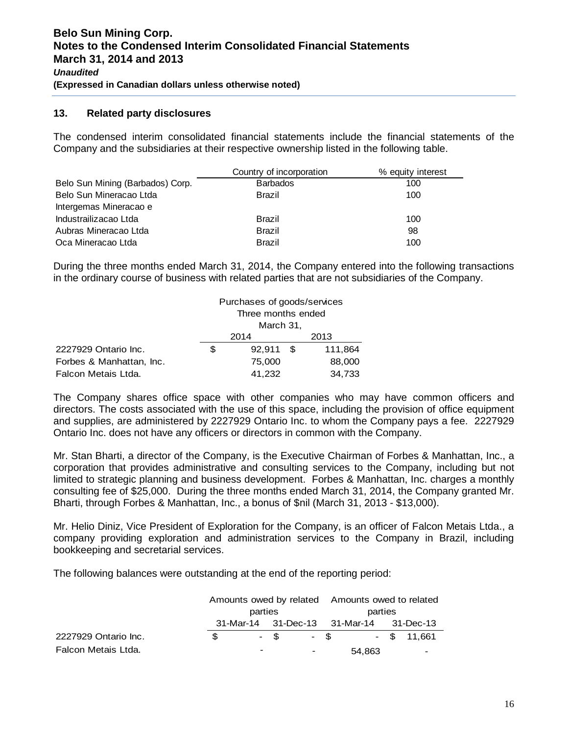#### **13. Related party disclosures**

The condensed interim consolidated financial statements include the financial statements of the Company and the subsidiaries at their respective ownership listed in the following table.

|                                  | Country of incorporation | % equity interest |
|----------------------------------|--------------------------|-------------------|
| Belo Sun Mining (Barbados) Corp. | <b>Barbados</b>          | 100               |
| Belo Sun Mineracao Ltda          | <b>Brazil</b>            | 100               |
| Intergemas Mineracao e           |                          |                   |
| Industrailizacao Ltda            | <b>Brazil</b>            | 100               |
| Aubras Mineracao Ltda            | Brazil                   | 98                |
| Oca Mineracao Ltda               | <b>Brazil</b>            | 100               |

During the three months ended March 31, 2014, the Company entered into the following transactions in the ordinary course of business with related parties that are not subsidiaries of the Company.

|                          |   | Purchases of goods/services<br>Three months ended |  |         |  |  |
|--------------------------|---|---------------------------------------------------|--|---------|--|--|
|                          |   |                                                   |  |         |  |  |
|                          |   | March 31,                                         |  |         |  |  |
|                          |   | 2014                                              |  | 2013    |  |  |
| 2227929 Ontario Inc.     | S | 92,911 \$                                         |  | 111,864 |  |  |
| Forbes & Manhattan, Inc. |   | 75,000                                            |  | 88,000  |  |  |
| Falcon Metais Ltda.      |   | 41,232                                            |  | 34,733  |  |  |

The Company shares office space with other companies who may have common officers and directors. The costs associated with the use of this space, including the provision of office equipment and supplies, are administered by 2227929 Ontario Inc. to whom the Company pays a fee. 2227929 Ontario Inc. does not have any officers or directors in common with the Company.

Mr. Stan Bharti, a director of the Company, is the Executive Chairman of Forbes & Manhattan, Inc., a corporation that provides administrative and consulting services to the Company, including but not limited to strategic planning and business development. Forbes & Manhattan, Inc. charges a monthly consulting fee of \$25,000. During the three months ended March 31, 2014, the Company granted Mr. Bharti, through Forbes & Manhattan, Inc., a bonus of \$nil (March 31, 2013 - \$13,000).

Mr. Helio Diniz, Vice President of Exploration for the Company, is an officer of Falcon Metais Ltda., a company providing exploration and administration services to the Company in Brazil, including bookkeeping and secretarial services.

The following balances were outstanding at the end of the reporting period:

|                      |               |                          |        |                          | Amounts owed by related Amounts owed to related |                                         |  |               |
|----------------------|---------------|--------------------------|--------|--------------------------|-------------------------------------------------|-----------------------------------------|--|---------------|
|                      |               | parties                  |        |                          | parties                                         |                                         |  |               |
|                      |               |                          |        |                          |                                                 | 31-Mar-14 31-Dec-13 31-Mar-14 31-Dec-13 |  |               |
| 2227929 Ontario Inc. | $\mathcal{S}$ |                          | $-$ \$ |                          | $-$ \$                                          |                                         |  | $-$ \$ 11.661 |
| Falcon Metais Ltda.  |               | $\overline{\phantom{0}}$ |        | $\overline{\phantom{a}}$ |                                                 | 54,863                                  |  |               |